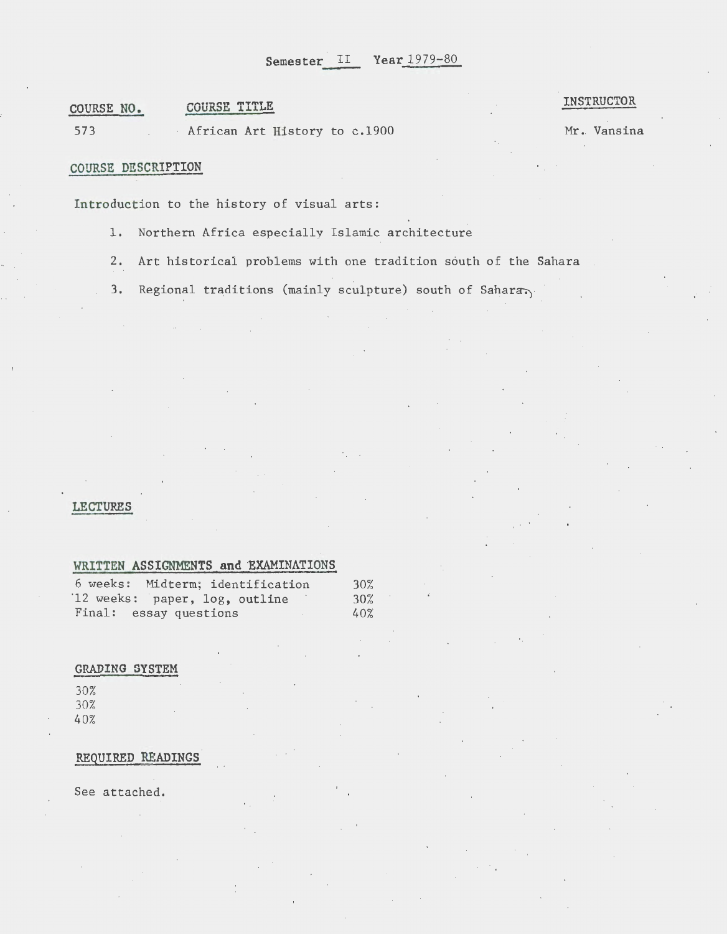# **COURSE NO. COURSE TITLE**

573 African **Art** History to c.l900

## **INSTRUCTOR**

Mr. Vansina

# **COURSE DESCRIPTION**

Introduction to the history of visual arts:

- 1. Northern Africa especially Islamic architecture
- 2. Art historical problems with one tradition south of the Sahara
- 3. Regional traditions (mainly sculpture) south of Sahara

### **LECTURES**

I'

# WRITTEN ASSIGNMENTS and EXAMINATIONS

| 6 weeks: Midterm; identification | 30% |
|----------------------------------|-----|
| 12 weeks: paper, log, outline    | 30% |
| Final: essay questions           | 40% |

## **GRADING SYSTEM**

30% 30% 40%

### **REQUIRED READINGS**

See attached.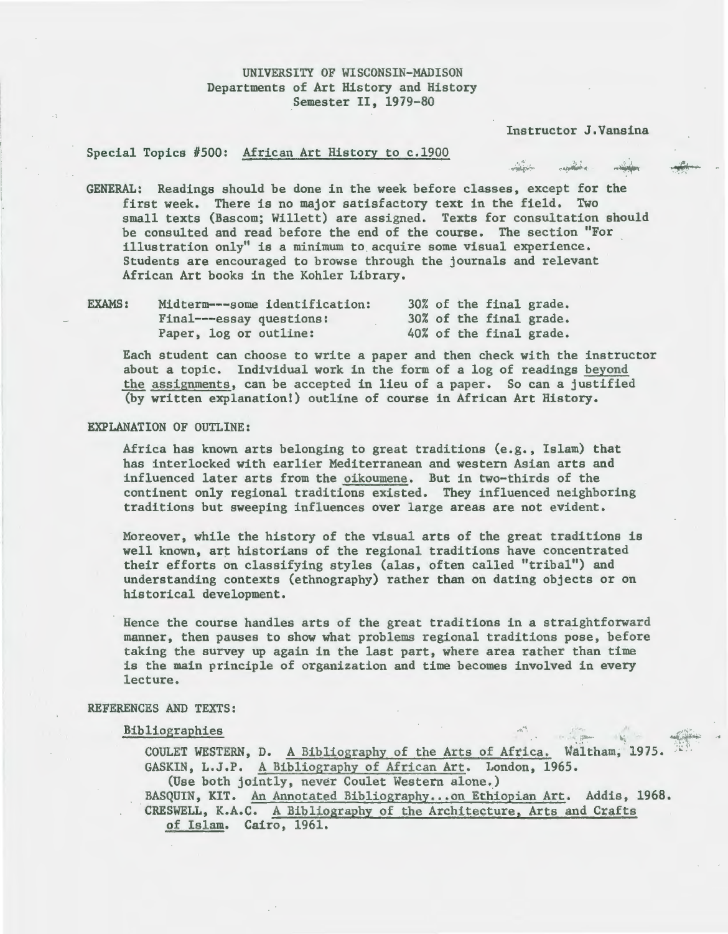## UNIVERSITY OF WISCONSIN-MADISON Departments of Art History and History Semester II, 1979-80

Instructor J.Vansina

<u>andiri</u>n

## Special Topics #500: African Art History to c.1900

GENERAL: Readings should be done in the week before classes, except for the first week. There is no major satisfactory text in the field. Two small texts (Bascom; Willett) are assigned. Texts for consultation should be consulted and read before the end of the course. The section "For illustration only" is a minimum to acquire some visual experience. Students are encouraged to browse through the journals and relevant African Art books in the Kohler Library.

| <b>EXAMS:</b> | Midterm---some identification: |  |  | 30% of the final grade. |
|---------------|--------------------------------|--|--|-------------------------|
|               | Final---essay questions:       |  |  | 30% of the final grade. |
|               | Paper, log or outline:         |  |  | 40% of the final grade. |

Each student can choose to write a paper and then check with the instructor about a topic. Individual work in the form of a log of readings beyond the assignments, can be accepted in lieu of a paper. So can a justified (by written explanation!) outline of course in African Art History.

### EXPLANATION OF OUTLINE:

Africa has known arts belonging to great traditions (e.g., Islam) that has interlocked with earlier Mediterranean and western Asian arts and influenced later arts from the oikoumene. But in two-thirds of the continent only regional traditions existed. They influenced neighboring traditions but sweeping influences over large areas are not evident.

Moreover, while the history of the visual arts of the great traditions is well known, art historians of the regional traditions have concentrated their efforts on classifying styles (alas, often called "tribal") and understanding contexts (ethnography) rather than on dating objects or on historical development.

Hence the course handles arts of the great traditions in a straightforward manner, then pauses to show what problems regional traditions pose, before taking the survey up again in the last part, where area rather than time is the main principle of organization and time becomes involved in every lecture.

## REFERENCES AND TEXTS:

## Bibliographies

COULET WESTERN, D. A Bibliography of the Arts of Africa. Waltham, 1975. GASKIN, L.J.P. A Bibliography of African Art. London, 1965. (Use both jointly, never Goulet Western alone.) BASQUIN, KIT. An Annotated Bibliography...on Ethiopian Art. Addis, 1968. CRESWELL, K.A.C. A Bibliography of the Architecture, Arts and Crafts of Islam. Cairo, 1961.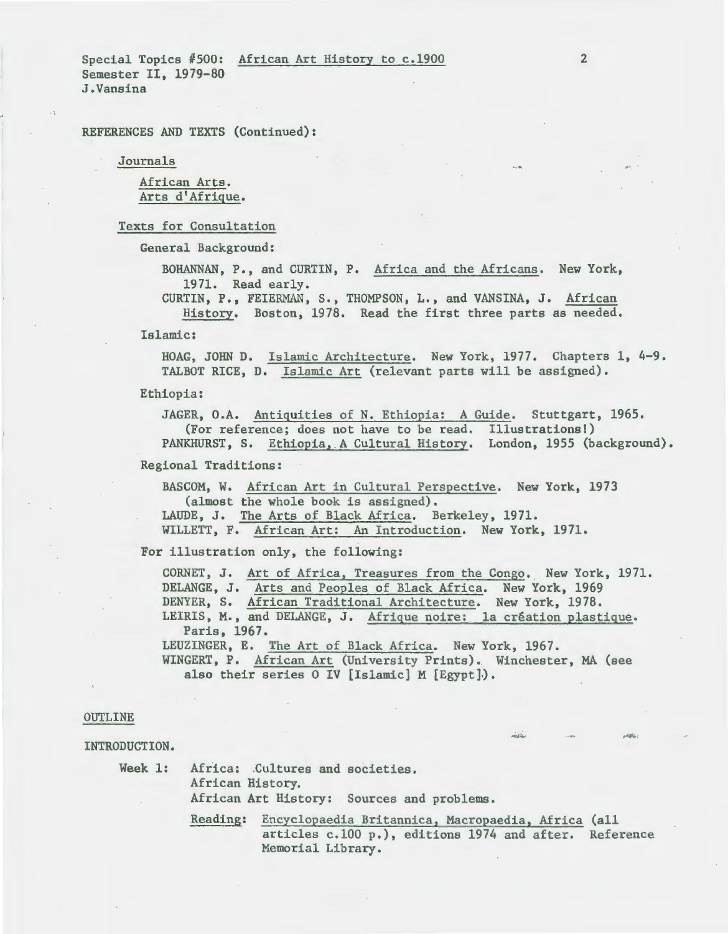REFERENCES AND TEXTS (Continued):

Journals

African Arts. Arts d'Afrique.

Texts for Consultation

General Background:

BOHANNAN, P., and CURTIN, P. Africa and the Africans. New York, 1971. Read early.

CURTIN, P., FEIERMAN, S., THOMPSON, L., and VANSINA, J. African History. Boston, 1978. Read the first three parts as needed.

Islamic:

HOAG, JOHN D. Islamic Architecture. New York, 1977. Chapters 1, 4-9. TALBOT RICE, D. Islamic Art (relevant parts will be assigned).

Ethiopia:

JAGER, O.A. Antiquities of N. Ethiopia: A Guide. Stuttgart, 1965. (For reference; does not have to be read. Illustrations!) PANKHURST, S. Ethiopia, A Cultural History. London, 1955 (background).

Regional Traditions:

BASCOM, W. African Art in Cultural Perspective. New York, 1973 (almost the whole book is assigned). LAUDE, J. The Arts of Black Africa. Berkeley, 1971. WILLETT, F. African Art: An Introduction. New York, 1971.

For illustration only, the following:

CORNET, J. Art of Africa, Treasures from the Congo. New York, 1971. DELANGE, J. Arts and Peoples of Black Africa. New York, 1969 DENYER, S. African Traditional Architecture. New York, 1978. LEIRIS, M., and DELANGE, J. Afrique noire: la création plastique. Paris, 1967. LEUZINGER, E. The Art of Black Africa. New York, 1967. WINGERT, P. African Art (University Prints). Winchester, MA (see also their series 0 IV [Islamic] M [Egypt].).

### OUTLINE

INTRODUCTION.

Week 1: Africa: Cultures and societies. African History. African Art History: Sources and problems.

> Reading: Encyclopaedia Britannica, Macropaedia, Africa (all articles c.lOO p.), editions 1974 and after. Reference Memorial Library.

... .·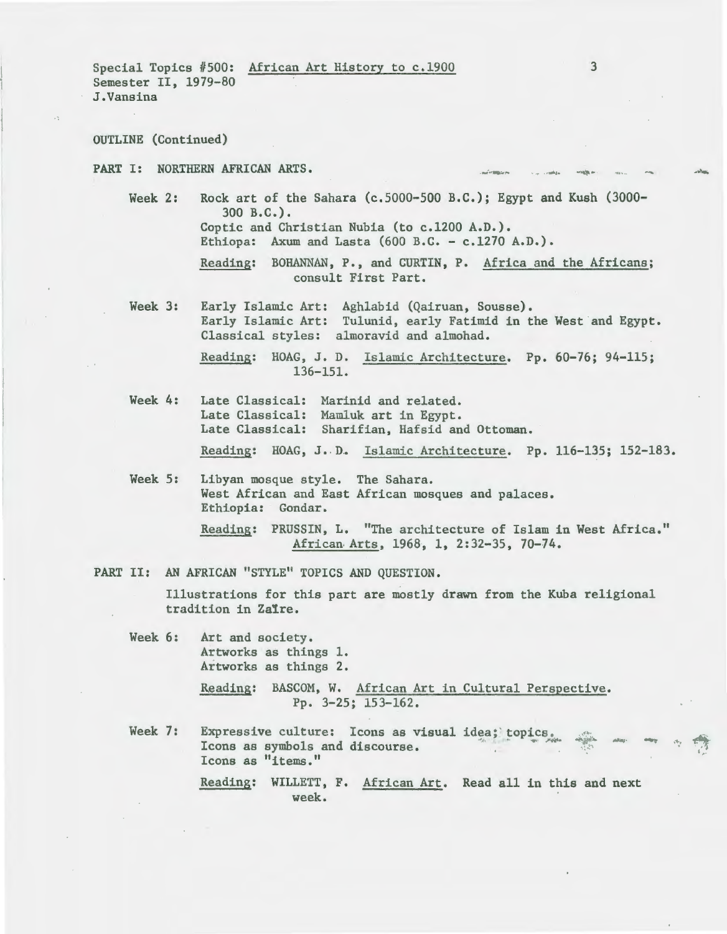Special Topics #500: African Art History to c.l900 Semester II, 1979-80 J.Vansina

OUTLINE (Continued)

PART I: NORTHERN AFRICAN ARTS.

Week 2: Rock art of the Sahara (c.5000-500 B.C.); Egypt and Kush (3000- 300 B.C.). Coptic and Christian Nubia (to c.l200 A.D.).

Ethiopa: Axum and Lasta  $(600 B.C. - c.1270 A.D.).$ 

Reading: BOHANNAN, P., and CURTIN, P. Africa and the Africans; consult First Part.

Week 3: Early Islamic Art: Aghlabid (Qairuan, Sousse). Early Islamic Art: Tulunid, early Fatimid in the West and Egypt. Classical styles: almoravid and almohad.

> Reading: HOAG, J. D. Islamic Architecture. Pp. 60-76; 94-115; 136-151.

- Week 4: Late Classical: Marinid and related. Late Classical: Mamluk art in Egypt. Late Classical: Sharifian, Hafsid and Ottoman. Reading: HOAG, J. D. Islamic Architecture. Pp. 116-135; 152-183.
- Week 5: Libyan mosque style. The Sahara. West African and East African mosques and palaces. Ethiopia: Gondar.

Reading: PRUSSIN, L. "The architecture of Islam in West Africa." African· Arts, 1968, 1, 2:32-35, 70-74.

PART II: AN AFRICAN "STYLE" TOPICS AND QUESTION.

Illustrations for this part are mostly drawn from the Kuba religional tradition in Zaire.

Week 6: Art and society. Artworks as things 1. Artworks as things 2.

> Reading: BASCOM, W. African Art in Cultural Perspective. Pp. 3-25; 153-162.

Week 7: Expressive culture: Icons as visual idea; topics.<br>Icons as symbols and discourse. Icons as "items." -·

3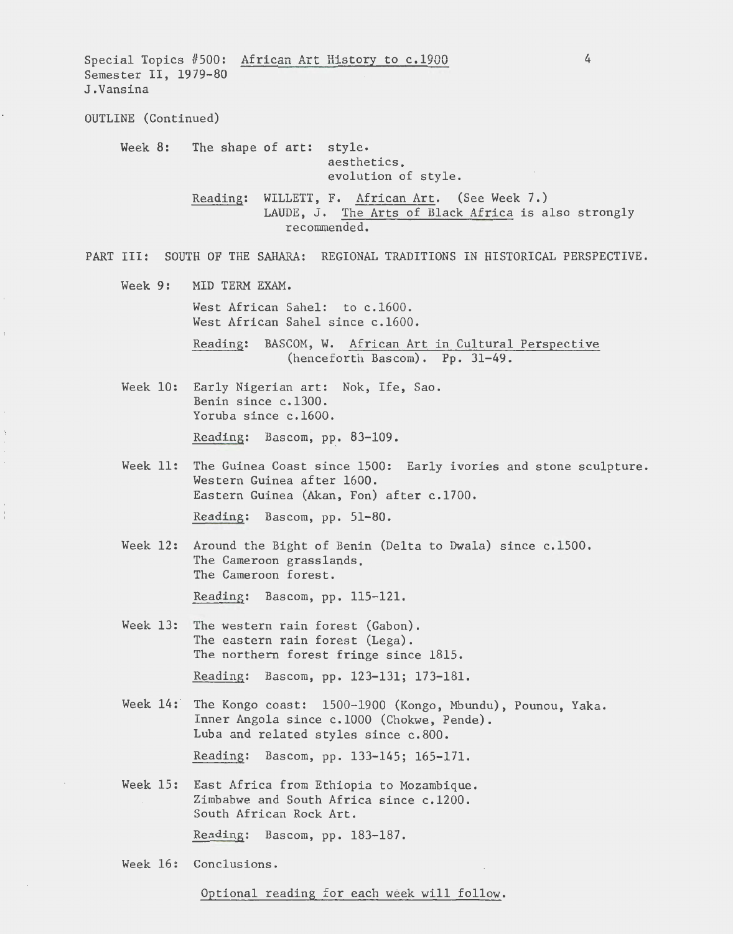Special Topics #500: African Art History to c.l900 Semester II, 1979-80 J.Vansina OUTLINE (Continued) Week 8: The shape of art: style. aesthetics, evolution of style. Reading: WILLETT, F. African Art. (See Week 7.) 4 LAUDE, J. The Arts of Black Africa is also strongly recommended. PART III: SOUTH OF THE SAHARA: REGIONAL TRADITIONS IN HISTORICAL PERSPECTIVE. Week 9: MID TERM EXAM. West African Sahel: to c.l600. West African Sahel since c.l600. Reading: BASCOM, W. African Art in Cultural Perspective (henceforth Bascom). Pp. 31-49. Week 10: Early Nigerian art: Nok, Ife, Sao. Benin since c.l300. Yoruba since c.l600. Reading: Bascom, pp. 83-109. Week 11: The Guinea Coast since 1500: Early ivories and stone sculpture. Western Guinea after 1600. Eastern Guinea (Akan, Fon) after c.l700. Reading: Bascom, pp. 51-80. Week 12: Around the Bight of Benin (Delta to Dwala) since c.1500. The Cameroon grasslands, The Cameroon forest. Reading: Bascom, pp. 115-121. Week 13: The western rain forest (Gabon). The eastern rain forest (Lega). The northern forest fringe since 1815. Reading: Bascom, pp. 123-131; 173-181. Week 14: The Kongo coast: 1500-1900 (Kongo, Mbundu), Pounou, Yaka. Inner Angola since c.lOOO (Chokwe, Pende). Luba and related styles since c.800. Reading: Bascom, pp. 133-145; 165-171. Week 15: East Africa from Ethiopia to Mozambique. Zimbabwe and South Africa since c.l200. South African Rock Art. Reading: Bascom, pp. 183-187. Week 16: Conclusions.

Optional reading for each week will follow.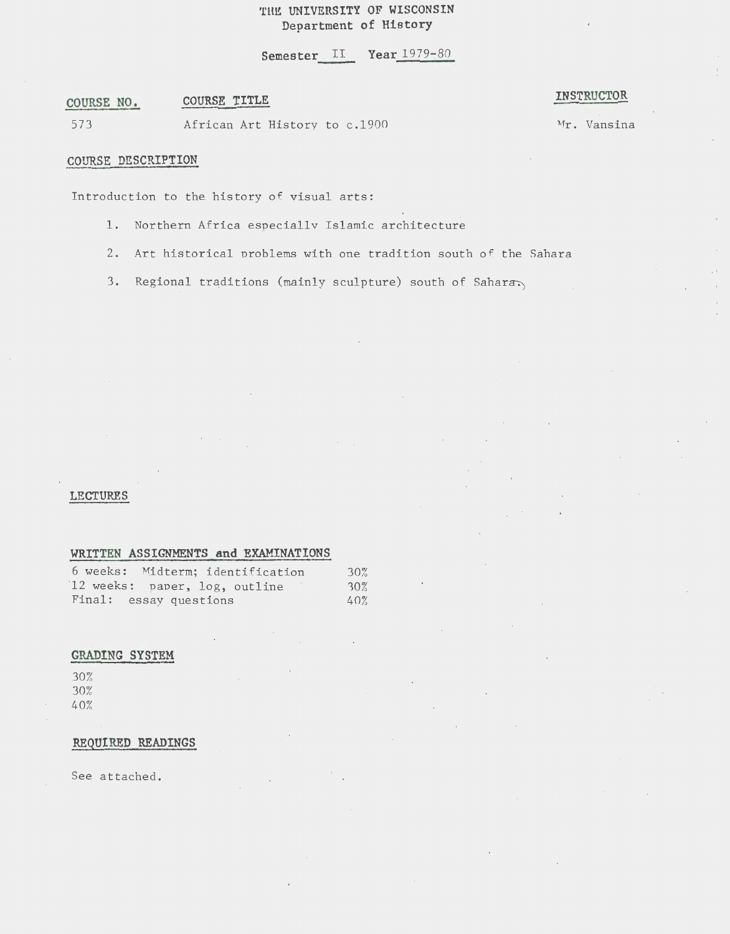# THE UNIVERSITY OF WISCONSIN **Department of History**

**Semester II Year 1979-80** 

#### **COURSE NO. COURSE TITLE**

**INSTRUCTOR** 

573 African Art History to c.l900 Mr. Vansina

·'

## **COURSE DESCRIPTION**

Introduction to the history of visual arts:

- 1. Northern Africa especiallv Islamic architecture
- 2. Art historical problems with one tradition south of the Sahara
- 3. Regional traditions (mainly sculpture) south of Sahara

## **LECTURES**

## **WRITTEN ASSIGNMENTS and EXAMINATIONS**

| 6 weeks: Midterm; identification | 30% |
|----------------------------------|-----|
| 12 weeks: paper, log, outline    | 30% |
| Final: essay questions           | 40% |

# **GRADING SYSTEM**

30% 30% 40%

## **REQUIRED READINGS**

See attached.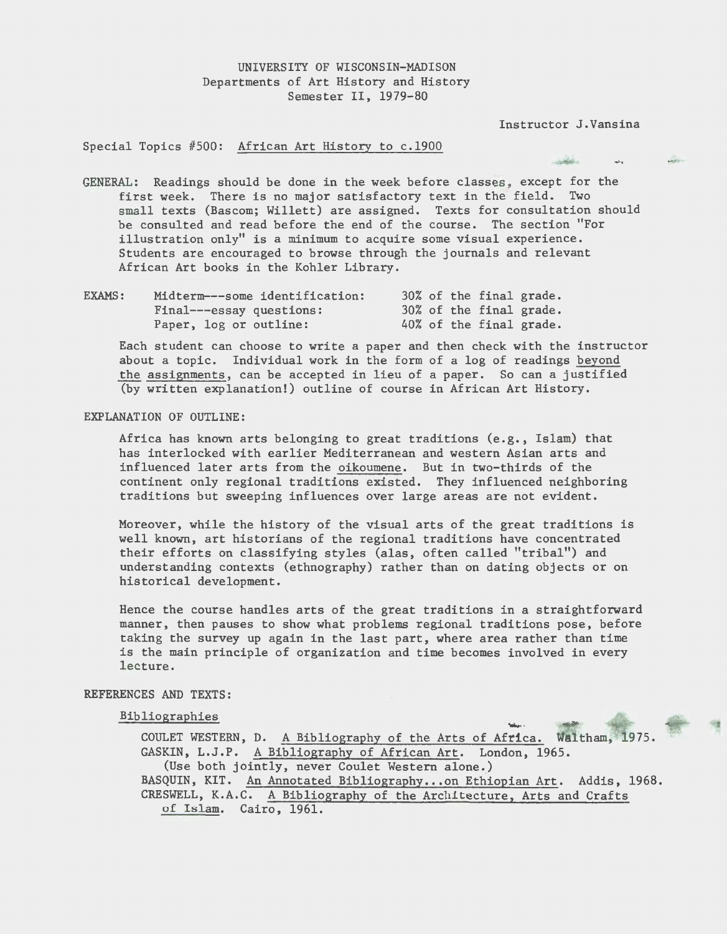# UNIVERSITY OF WISCONSIN-MADISON Departments of Art History and History Semester II, 1979-80

Instructor J.Vansina

and the contract

 $\mathbf{A}$ 

diam.

### Special Topics #500: African Art History to c.l900

GENERAL: Readings should be done in the week before classes, except for the first week. There is no major satisfactory text in the field. Two small texts (Bascom; Willett) are assigned. Texts for consultation should be consulted and read before the end of the course. The section "For illustration only" is a minimum to acquire some visual experience. Students are encouraged to browse through the journals and relevant African Art books in the Kohler Library.

| EXAMS: | Midterm---some identification: |  |  | 30% of the final grade. |
|--------|--------------------------------|--|--|-------------------------|
|        | Final---essay questions:       |  |  | 30% of the final grade. |
|        | Paper, log or outline:         |  |  | 40% of the final grade. |

Each student can choose to write a paper and then check with the instructor about a topic. Individual work in the form of a log of readings beyond the assignments, can be accepted in lieu of a paper. So can a justified (by written explanation!) outline of course in African Art History.

## EXPLANATION OF OUTLINE:

Africa has known arts belonging to great traditions (e.g., Islam) that has interlocked with earlier Mediterranean and western Asian arts and influenced later arts from the oikoumene. But in two-thirds of the continent only regional traditions existed. They influenced neighboring traditions but sweeping influences over large areas are not evident.

Moreover, while the history of the visual arts of the great traditions is well known, art historians of the regional traditions have concentrated their efforts on classifying styles (alas, often called "tribal") and understanding contexts (ethnography) rather than on dating objects or on historical development.

Hence the course handles arts of the great traditions in a straightforward manner, then pauses to show what problems regional traditions pose, before taking the survey up again in the last part, where area rather than time is the main principle of organization and time becomes involved in every lecture.

## REFERENCES AND TEXTS:

### Bibliographies

COULET WESTERN, D. A Bibliography of the Arts of Africa. Waltham, 1975. GASKIN, L.J.P. A Bibliography of African Art. London, 1965. (Use both jointly, never Coulet Western alone.) BASQUIN, KIT. An Annotated Bibliography...on Ethiopian Art. Addis, 1968. CRESWELL, K.A.C. A Bibliography of the Architecture, Arts and Crafts of Islam. Cairo, 1961.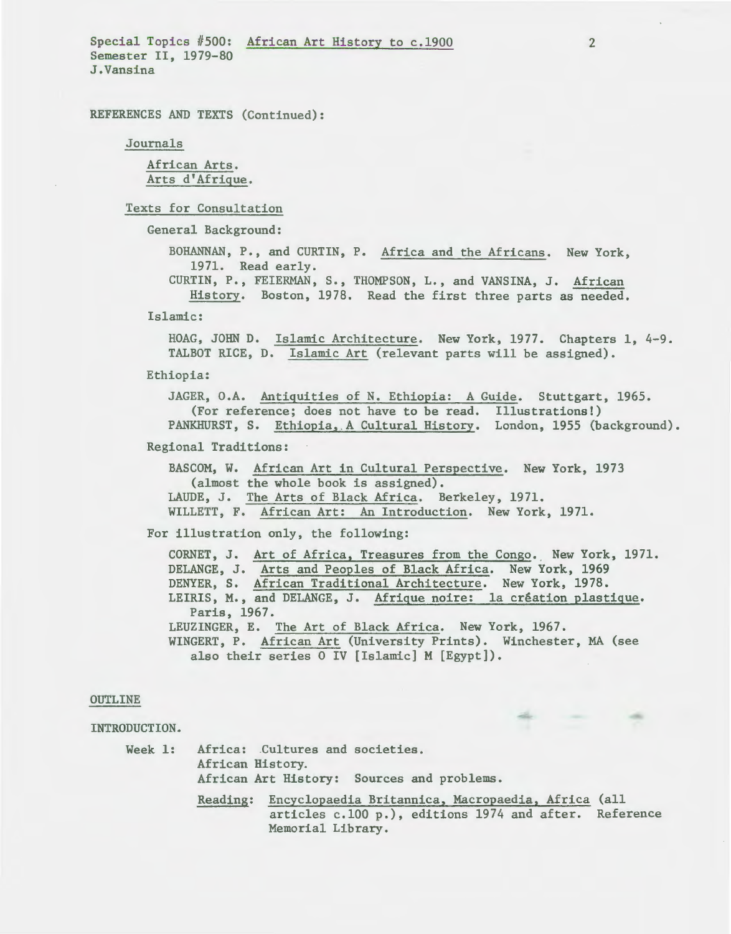Special Topics #500: African Art History to c.l900 Semester II, 1979-80 J.Vansina

REFERENCES AND TEXTS (Continued):

Journals

African Arts. Arts d'Afrique.

Texts for Consultation

General Background:

BOHANNAN, P., and CURTIN, P. Africa and the Africans. New York, 1971. Read early. CURTIN, P., FEIERMAN, S., THOMPSON, L., and VANSINA, J. African

History. Boston, 1978. Read the first three parts as needed.

Islamic:

HOAG, JOHN D. Islamic Architecture. New York, 1977. Chapters 1, 4-9. TALBOT RICE, D. Islamic Art (relevant parts will be assigned).

Ethiopia:

JAGER, O.A. Antiquities of N. Ethiopia: A Guide. Stuttgart, 1965. (For reference; does not have to be read. Illustrations!) PANKHURST, S. Ethiopia,.A Cultural History. London, 1955 (background),

Regional Traditions:

BASCOM, W. African Art in Cultural Perspective. New York, 1973 (almost the whole book is assigned). LAUDE, J. The Arts of Black Africa. Berkeley, 1971. WILLETT, F. African Art: An Introduction. New York, 1971.

For illustration only, the following:

CORNET, J. Art of Africa, Treasures from the Congo. New York, 1971. DELANGE, J. Arts and Peoples of Black Africa. New York, 1969 DENYER, S. African Traditional Architecture. New York, 1978. LEIRIS, M., and DELANGE, J. Afrique noire: la creation plastigue. Paris, 1967. LEUZINGER, E. The Art of Black Africa. New York, 1967. WINGERT, P. African Art (University Prints). Winchester, MA (see also their series 0 IV [Islamic] M [Egypt]).

### OUTLINE

INTRODUCTION.

Week 1: Africa: Cultures and societies. African History. African Art History: Sources and problems.

Reading: Encyclopaedia Britannica, Macropaedia, Africa (all articles c.lOO p.), editions 1974 and after. Reference Memorial Library.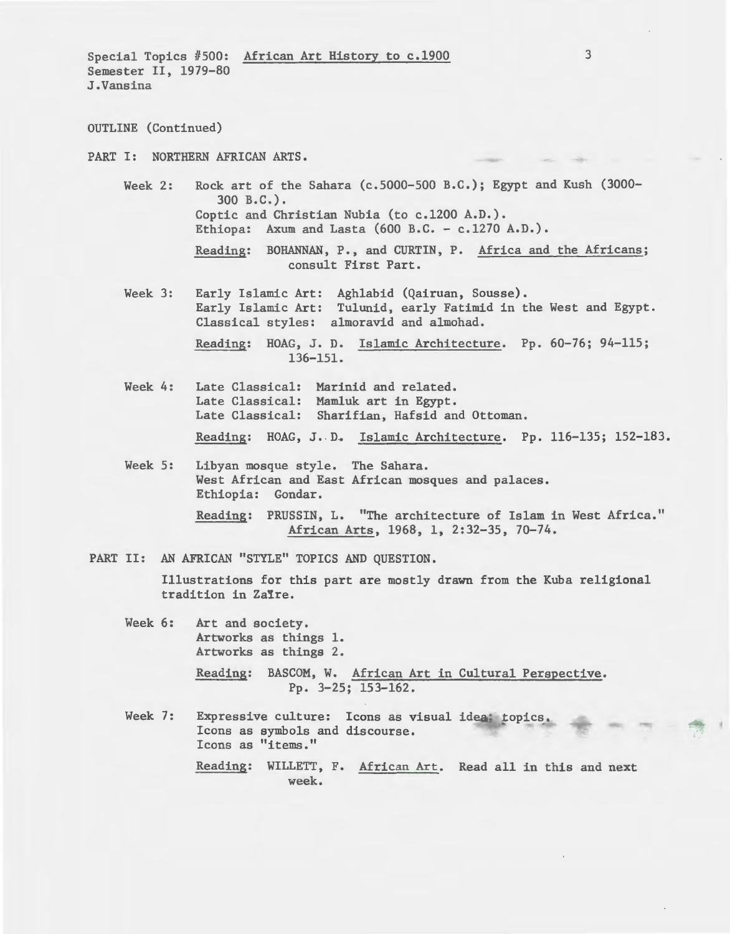Special Topics #500: African Art History to c.l900 Semester II, 1979-80 J.Vansina

OUTLINE (Continued)

PART I: NORTHERN AFRICAN ARTS.

- Week 2: Rock art of the Sahara (c.5000-500 B.C.); Egypt and Kush (3000- 300 B.C.). Coptic and Christian Nubia (to c.l200 A.D.). Ethiopa: Axum and Lasta  $(600 B.C. - c.1270 A.D.).$ Reading: BOHANNAN, P., and CURTIN, P. Africa and the Africans; consult First Part.
- Week 3: Early Islamic Art: Aghlabid (Qairuan, Sousse). Early Islamic Art: Tulunid, early Fatimid in the West and Egypt. Classical styles: almoravid and almohad. Reading: HOAG, J. D. Islamic Architecture. Pp. 60-76; 94-115;
	- 136-151.
- Week 4: Late Classical: Marinid and related. Late Classical: Mamluk art in Egypt. Late Classical: Sharifian, Hafsid and Ottoman. Reading: HOAG, J. D. Islamic Architecture. Pp. 116-135; 152-183.
- Week 5: Libyan mosque style. The Sahara. West African and East African mosques and palaces. Ethiopia: Gondar. Reading: PRUSSIN, L. "The architecture of Islam in West Africa." African Arts, 1968, 1, 2:32-35, 70-74.
- PART II: AN AFRICAN "STYLE" TOPICS AND QUESTION.

Illustrations for this part are mostly drawn from the Kuba religional tradition in Zaire.

- Week 6: Art and society. Artworks as things 1. Artworks as things 2. Reading: BASCOM, W. African Art in Cultural Perspective. Pp. 3-25; 153-162.
- Week 7: Expressive culture: Icons as visual idea topics. Icons as symbols and discourse. Icons as "items." Reading: WILLETT, F. African Art. Read all in this and next week.

• 'I